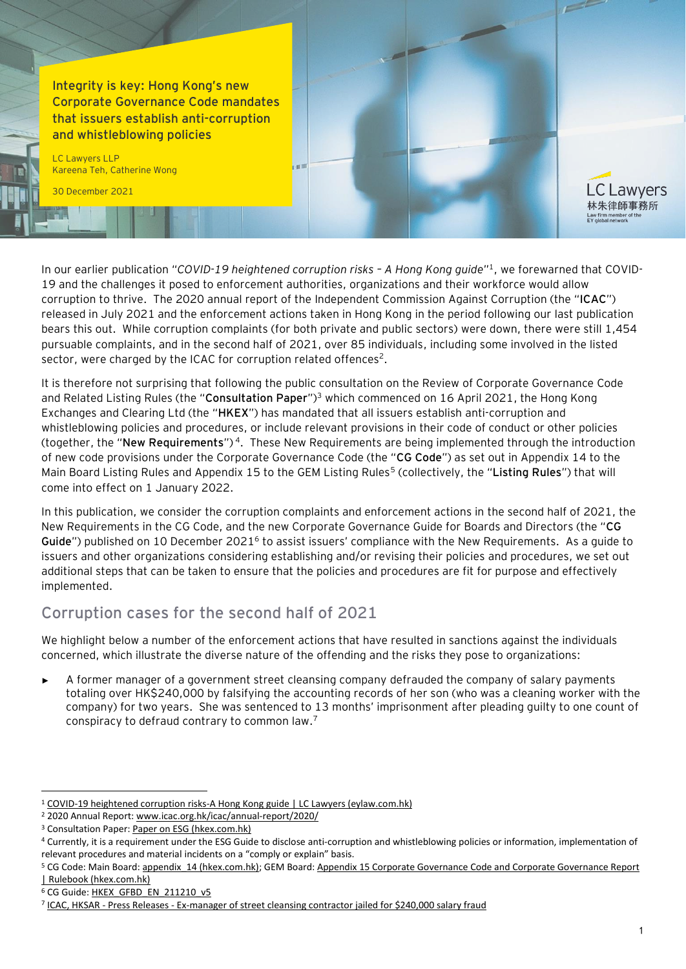**Integrity is key: Hong Kong's new Corporate Governance Code mandates that issuers establish anti-corruption and whistleblowing policies**

LC Lawyers LLP Kareena Teh, Catherine Wong

30 December 2021

In our earlier publication "COVID-19 heightened corruption risks - A Hong Kong guide"<sup>1</sup>, we forewarned that COVID-19 and the challenges it posed to enforcement authorities, organizations and their workforce would allow corruption to thrive. The 2020 annual report of the Independent Commission Against Corruption (the "**ICAC**") released in July 2021 and the enforcement actions taken in Hong Kong in the period following our last publication bears this out. While corruption complaints (for both private and public sectors) were down, there were still 1,454 pursuable complaints, and in the second half of 2021, over 85 individuals, including some involved in the listed sector, were charged by the ICAC for corruption related offences<sup>2</sup>.

It is therefore not surprising that following the public consultation on the Review of Corporate Governance Code and Related Listing Rules (the "**Consultation Paper**")<sup>3</sup> which commenced on 16 April 2021, the Hong Kong Exchanges and Clearing Ltd (the "**HKEX**") has mandated that all issuers establish anti-corruption and whistleblowing policies and procedures, or include relevant provisions in their code of conduct or other policies (together, the "**New Requirements**")<sup>4</sup>. These New Requirements are being implemented through the introduction of new code provisions under the Corporate Governance Code (the "**CG Code**") as set out in Appendix 14 to the Main Board Listing Rules and Appendix 15 to the GEM Listing Rules<sup>5</sup> (collectively, the "Listing Rules") that will come into effect on 1 January 2022.

In this publication, we consider the corruption complaints and enforcement actions in the second half of 2021, the New Requirements in the CG Code, and the new Corporate Governance Guide for Boards and Directors (the "**CG**  Guide") published on 10 December 2021<sup>6</sup> to assist issuers' compliance with the New Requirements. As a guide to issuers and other organizations considering establishing and/or revising their policies and procedures, we set out additional steps that can be taken to ensure that the policies and procedures are fit for purpose and effectively implemented.

## **Corruption cases for the second half of 2021**

We highlight below a number of the enforcement actions that have resulted in sanctions against the individuals concerned, which illustrate the diverse nature of the offending and the risks they pose to organizations:

A former manager of a government street cleansing company defrauded the company of salary payments totaling over HK\$240,000 by falsifying the accounting records of her son (who was a cleaning worker with the company) for two years. She was sentenced to 13 months' imprisonment after pleading guilty to one count of conspiracy to defraud contrary to common law. 7

.C Lawyers 林朱律師事務所

<sup>1</sup> [COVID-19 heightened corruption risks-A Hong Kong guide | LC Lawyers \(eylaw.com.hk\)](https://www.eylaw.com.hk/en_hk/publications/our-latest-thinking/2020/april/covid-19-heightened-corruption-risks-a-hong-kong-guide)

<sup>2</sup> 2020 Annual Report[: www.icac.org.hk/icac/annual-report/2020/](http://www.icac.org.hk/icac/annual-report/2020/)

<sup>&</sup>lt;sup>3</sup> Consultation Paper[: Paper on ESG \(hkex.com.hk\)](https://www.hkex.com.hk/-/media/HKEX-Market/News/Market-Consultations/2016-Present/April-2021-Review-of-CG-Code-and-LR/Consultation-Paper/cp202104.pdf)

<sup>4</sup> Currently, it is a requirement under the ESG Guide to disclose anti-corruption and whistleblowing policies or information, implementation of relevant procedures and material incidents on a "comply or explain" basis.

<sup>&</sup>lt;sup>5</sup> CG Code: Main Board: appendix 14 (hkex.com.hk); GEM Board: Appendix 15 Corporate Governance Code and Corporate Governance Report [| Rulebook \(hkex.com.hk\)](https://en-rules.hkex.com.hk/rulebook/corporate-governance-code-and-corporate-governance-report)

<sup>&</sup>lt;sup>6</sup> CG Guide[: HKEX\\_GFBD\\_EN\\_211210\\_v5](https://www.hkex.com.hk/-/media/HKEX-Market/Listing/Rules-and-Guidance/Corporate-Governance-Practices/guide_board_dir.pdf?la=en)

<sup>7</sup> ICAC, HKSAR - Press Releases - [Ex-manager of street cleansing contractor jailed for \\$240,000 salary fraud](https://www.icac.org.hk/en/press/index_id_1135.html)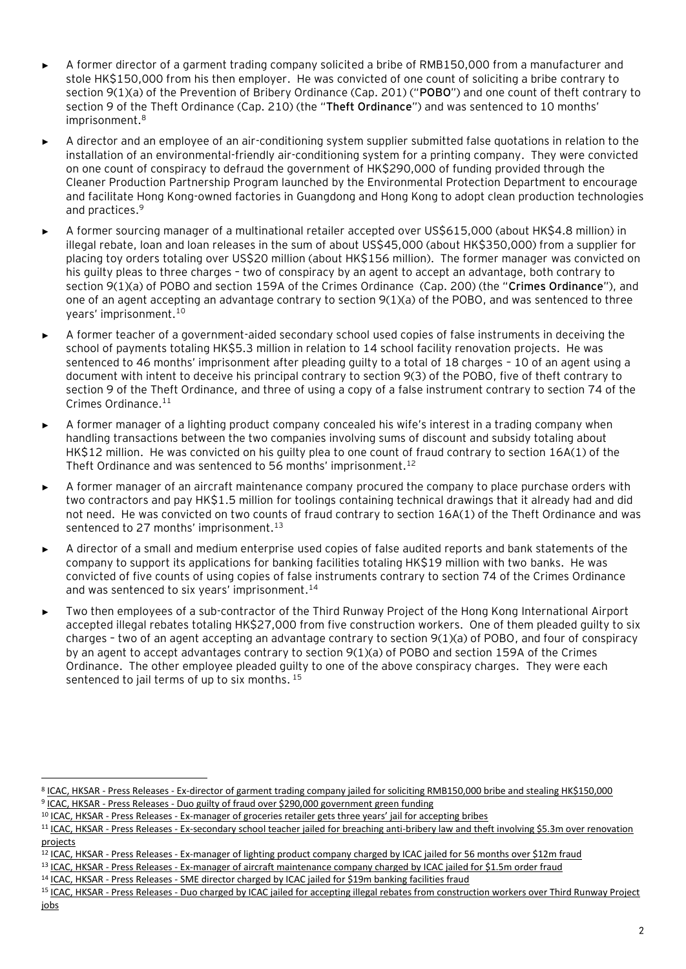- A former director of a garment trading company solicited a bribe of RMB150,000 from a manufacturer and stole HK\$150,000 from his then employer. He was convicted of one count of soliciting a bribe contrary to section 9(1)(a) of the Prevention of Bribery Ordinance (Cap. 201) ("**POBO**") and one count of theft contrary to section 9 of the Theft Ordinance (Cap. 210) (the "**Theft Ordinance**") and was sentenced to 10 months' imprisonment. 8
- A director and an employee of an air-conditioning system supplier submitted false quotations in relation to the installation of an environmental-friendly air-conditioning system for a printing company. They were convicted on one count of conspiracy to defraud the government of HK\$290,000 of funding provided through the Cleaner Production Partnership Program launched by the Environmental Protection Department to encourage and facilitate Hong Kong-owned factories in Guangdong and Hong Kong to adopt clean production technologies and practices. 9
- ► A former sourcing manager of a multinational retailer accepted over US\$615,000 (about HK\$4.8 million) in illegal rebate, loan and loan releases in the sum of about US\$45,000 (about HK\$350,000) from a supplier for placing toy orders totaling over US\$20 million (about HK\$156 million). The former manager was convicted on his guilty pleas to three charges – two of conspiracy by an agent to accept an advantage, both contrary to section 9(1)(a) of POBO and section 159A of the Crimes Ordinance (Cap. 200) (the "**Crimes Ordinance**"), and one of an agent accepting an advantage contrary to section 9(1)(a) of the POBO, and was sentenced to three years' imprisonment. 10
- ► A former teacher of a government-aided secondary school used copies of false instruments in deceiving the school of payments totaling HK\$5.3 million in relation to 14 school facility renovation projects. He was sentenced to 46 months' imprisonment after pleading guilty to a total of 18 charges – 10 of an agent using a document with intent to deceive his principal contrary to section 9(3) of the POBO, five of theft contrary to section 9 of the Theft Ordinance, and three of using a copy of a false instrument contrary to section 74 of the Crimes Ordinance. 11
- A former manager of a lighting product company concealed his wife's interest in a trading company when handling transactions between the two companies involving sums of discount and subsidy totaling about HK\$12 million. He was convicted on his guilty plea to one count of fraud contrary to section 16A(1) of the Theft Ordinance and was sentenced to 56 months' imprisonment.<sup>12</sup>
- A former manager of an aircraft maintenance company procured the company to place purchase orders with two contractors and pay HK\$1.5 million for toolings containing technical drawings that it already had and did not need. He was convicted on two counts of fraud contrary to section 16A(1) of the Theft Ordinance and was sentenced to 27 months' imprisonment.<sup>13</sup>
- ► A director of a small and medium enterprise used copies of false audited reports and bank statements of the company to support its applications for banking facilities totaling HK\$19 million with two banks. He was convicted of five counts of using copies of false instruments contrary to section 74 of the Crimes Ordinance and was sentenced to six years' imprisonment.<sup>14</sup>
- Two then employees of a sub-contractor of the Third Runway Project of the Hong Kong International Airport accepted illegal rebates totaling HK\$27,000 from five construction workers. One of them pleaded guilty to six charges – two of an agent accepting an advantage contrary to section 9(1)(a) of POBO, and four of conspiracy by an agent to accept advantages contrary to section 9(1)(a) of POBO and section 159A of the Crimes Ordinance. The other employee pleaded guilty to one of the above conspiracy charges. They were each sentenced to jail terms of up to six months. 15

<sup>&</sup>lt;sup>8</sup> ICAC, HKSAR - Press Releases - [Ex-director of garment trading company jailed for soliciting RMB150,000 bribe and stealing HK\\$150,000](https://www.icac.org.hk/en/press/index_id_1134.html) <sup>9</sup> ICAC, HKSAR - Press Releases - [Duo guilty of fraud over \\$290,000 government green funding](https://www.icac.org.hk/en/press/index_id_1149.html)

<sup>10</sup> ICAC, HKSAR - Press Releases - Ex-[manager of groceries retailer gets three years' jail for accepting bribes](https://www.icac.org.hk/en/press/index_id_1139.html)

<sup>11</sup> ICAC, HKSAR - Press Releases - Ex-secondary school teacher jailed for breaching anti-bribery law and theft involving \$5.3m over renovation [projects](https://www.icac.org.hk/en/press/index_id_1180.html)

<sup>12</sup> ICAC, HKSAR - Press Releases - [Ex-manager of lighting product company charged by ICAC jailed for 56 months over \\$12m fraud](https://www.icac.org.hk/en/press/index_id_1191.html)

<sup>13</sup> ICAC, HKSAR - Press Releases - [Ex-manager of aircraft maintenance company charged by ICAC jailed for \\$1.5m order fraud](https://www.icac.org.hk/en/press/index_id_1202.html)

<sup>&</sup>lt;sup>14</sup> ICAC, HKSAR - Press Releases - [SME director charged by ICAC jailed for \\$19m banking facilities fraud](https://www.icac.org.hk/en/press/index_id_1233.html)

<sup>&</sup>lt;sup>15</sup> ICAC, HKSAR - Press Releases - Duo charged by ICAC jailed for accepting illegal rebates from construction workers over Third Runway Project [jobs](https://www.icac.org.hk/en/press/index_id_1248.html)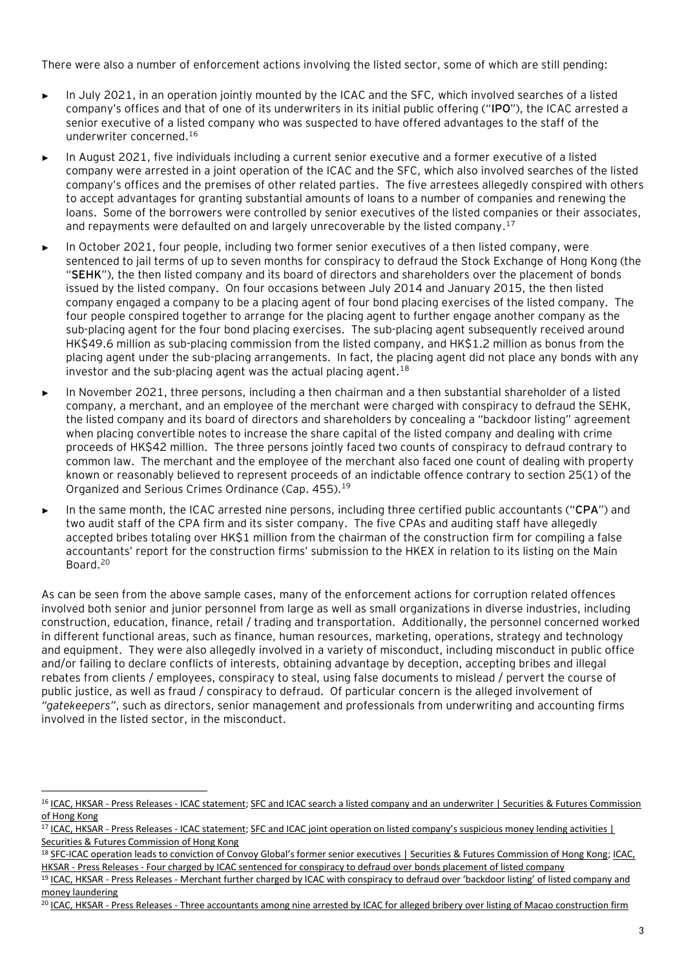There were also a number of enforcement actions involving the listed sector, some of which are still pending:

- ► In July 2021, in an operation jointly mounted by the ICAC and the SFC, which involved searches of a listed company's offices and that of one of its underwriters in its initial public offering ("**IPO**"), the ICAC arrested a senior executive of a listed company who was suspected to have offered advantages to the staff of the underwriter concerned. 16
- In August 2021, five individuals including a current senior executive and a former executive of a listed company were arrested in a joint operation of the ICAC and the SFC, which also involved searches of the listed company's offices and the premises of other related parties. The five arrestees allegedly conspired with others to accept advantages for granting substantial amounts of loans to a number of companies and renewing the loans. Some of the borrowers were controlled by senior executives of the listed companies or their associates, and repayments were defaulted on and largely unrecoverable by the listed company.<sup>17</sup>
- In October 2021, four people, including two former senior executives of a then listed company, were sentenced to jail terms of up to seven months for conspiracy to defraud the Stock Exchange of Hong Kong (the "**SEHK**"), the then listed company and its board of directors and shareholders over the placement of bonds issued by the listed company. On four occasions between July 2014 and January 2015, the then listed company engaged a company to be a placing agent of four bond placing exercises of the listed company. The four people conspired together to arrange for the placing agent to further engage another company as the sub-placing agent for the four bond placing exercises. The sub-placing agent subsequently received around HK\$49.6 million as sub-placing commission from the listed company, and HK\$1.2 million as bonus from the placing agent under the sub-placing arrangements. In fact, the placing agent did not place any bonds with any investor and the sub-placing agent was the actual placing agent. $18$
- ► In November 2021, three persons, including a then chairman and a then substantial shareholder of a listed company, a merchant, and an employee of the merchant were charged with conspiracy to defraud the SEHK, the listed company and its board of directors and shareholders by concealing a "backdoor listing" agreement when placing convertible notes to increase the share capital of the listed company and dealing with crime proceeds of HK\$42 million. The three persons jointly faced two counts of conspiracy to defraud contrary to common law. The merchant and the employee of the merchant also faced one count of dealing with property known or reasonably believed to represent proceeds of an indictable offence contrary to section 25(1) of the Organized and Serious Crimes Ordinance (Cap. 455).<sup>19</sup>
- In the same month, the ICAC arrested nine persons, including three certified public accountants ("CPA") and two audit staff of the CPA firm and its sister company. The five CPAs and auditing staff have allegedly accepted bribes totaling over HK\$1 million from the chairman of the construction firm for compiling a false accountants' report for the construction firms' submission to the HKEX in relation to its listing on the Main Board.<sup>20</sup>

As can be seen from the above sample cases, many of the enforcement actions for corruption related offences involved both senior and junior personnel from large as well as small organizations in diverse industries, including construction, education, finance, retail / trading and transportation. Additionally, the personnel concerned worked in different functional areas, such as finance, human resources, marketing, operations, strategy and technology and equipment. They were also allegedly involved in a variety of misconduct, including misconduct in public office and/or failing to declare conflicts of interests, obtaining advantage by deception, accepting bribes and illegal rebates from clients / employees, conspiracy to steal, using false documents to mislead / pervert the course of public justice, as well as fraud / conspiracy to defraud. Of particular concern is the alleged involvement of *"gatekeepers"*, such as directors, senior management and professionals from underwriting and accounting firms involved in the listed sector, in the misconduct.

<sup>19</sup> ICAC, HKSAR - Press Releases - Merchant further charged by ICAC with conspiracy to defraud over 'backdoor listing' of listed company and [money laundering](https://www.icac.org.hk/en/press/index_id_1229.html)

<sup>&</sup>lt;sup>16</sup> ICAC, HKSAR - Press Releases - [ICAC statement;](https://www.icac.org.hk/en/press/index_id_1136.html) SFC and ICAC search a listed company and an underwriter | Securities & Futures Commission [of Hong Kong](https://apps.sfc.hk/edistributionWeb/gateway/EN/news-and-announcements/news/enforcement-news/doc?refNo=21PR72)

<sup>&</sup>lt;sup>17</sup> ICAC, HKSAR - Press Releases - [ICAC statement;](https://www.icac.org.hk/en/press/index_id_1159.html) SFC and ICAC joint operation on listed company's suspicious money lending activities | [Securities & Futures Commission of Hong Kong](https://apps.sfc.hk/edistributionWeb/gateway/EN/news-and-announcements/news/enforcement-news/doc?refNo=21PR83)

<sup>18</sup> SFC-[ICAC operation leads to conviction of Convoy Global's former senior executives | Securities & Futures Commission of Hong Kong](https://apps.sfc.hk/edistributionWeb/gateway/EN/news-and-announcements/news/enforcement-news/doc?refNo=21PR94); ICAC, HKSAR - Press Releases - [Four charged by ICAC sentenced for conspiracy to defraud over bonds placement of listed company](https://www.icac.org.hk/en/press/index_id_1197.html)

<sup>&</sup>lt;sup>20</sup> ICAC, HKSAR - Press Releases - [Three accountants among nine arrested by ICAC for alleged bribery over listing of Macao construction firm](https://www.icac.org.hk/en/press/index_id_1230.html)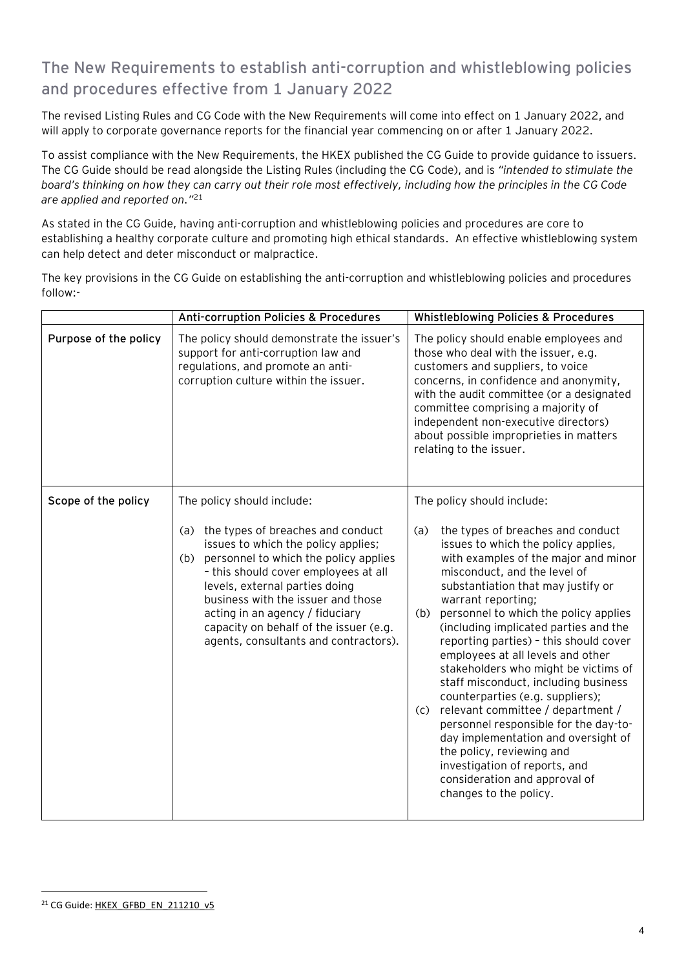## **The New Requirements to establish anti-corruption and whistleblowing policies and procedures effective from 1 January 2022**

The revised Listing Rules and CG Code with the New Requirements will come into effect on 1 January 2022, and will apply to corporate governance reports for the financial year commencing on or after 1 January 2022.

To assist compliance with the New Requirements, the HKEX published the CG Guide to provide guidance to issuers. The CG Guide should be read alongside the Listing Rules (including the CG Code), and is *"intended to stimulate the board's thinking on how they can carry out their role most effectively, including how the principles in the CG Code are applied and reported on."* 21

As stated in the CG Guide, having anti-corruption and whistleblowing policies and procedures are core to establishing a healthy corporate culture and promoting high ethical standards. An effective whistleblowing system can help detect and deter misconduct or malpractice.

|                       | Anti-corruption Policies & Procedures                                                                                                                                                                                                                                                                                                                                 | <b>Whistleblowing Policies &amp; Procedures</b>                                                                                                                                                                                                                                                                                                                                                                                                                                                                                                                                                                                                                                                                                                                      |
|-----------------------|-----------------------------------------------------------------------------------------------------------------------------------------------------------------------------------------------------------------------------------------------------------------------------------------------------------------------------------------------------------------------|----------------------------------------------------------------------------------------------------------------------------------------------------------------------------------------------------------------------------------------------------------------------------------------------------------------------------------------------------------------------------------------------------------------------------------------------------------------------------------------------------------------------------------------------------------------------------------------------------------------------------------------------------------------------------------------------------------------------------------------------------------------------|
| Purpose of the policy | The policy should demonstrate the issuer's<br>support for anti-corruption law and<br>regulations, and promote an anti-<br>corruption culture within the issuer.                                                                                                                                                                                                       | The policy should enable employees and<br>those who deal with the issuer, e.g.<br>customers and suppliers, to voice<br>concerns, in confidence and anonymity,<br>with the audit committee (or a designated<br>committee comprising a majority of<br>independent non-executive directors)<br>about possible improprieties in matters<br>relating to the issuer.                                                                                                                                                                                                                                                                                                                                                                                                       |
| Scope of the policy   | The policy should include:                                                                                                                                                                                                                                                                                                                                            | The policy should include:                                                                                                                                                                                                                                                                                                                                                                                                                                                                                                                                                                                                                                                                                                                                           |
|                       | the types of breaches and conduct<br>(a)<br>issues to which the policy applies;<br>personnel to which the policy applies<br>(b)<br>- this should cover employees at all<br>levels, external parties doing<br>business with the issuer and those<br>acting in an agency / fiduciary<br>capacity on behalf of the issuer (e.g.<br>agents, consultants and contractors). | the types of breaches and conduct<br>(a)<br>issues to which the policy applies,<br>with examples of the major and minor<br>misconduct, and the level of<br>substantiation that may justify or<br>warrant reporting;<br>personnel to which the policy applies<br>(b)<br>(including implicated parties and the<br>reporting parties) - this should cover<br>employees at all levels and other<br>stakeholders who might be victims of<br>staff misconduct, including business<br>counterparties (e.g. suppliers);<br>relevant committee / department /<br>(c)<br>personnel responsible for the day-to-<br>day implementation and oversight of<br>the policy, reviewing and<br>investigation of reports, and<br>consideration and approval of<br>changes to the policy. |

The key provisions in the CG Guide on establishing the anti-corruption and whistleblowing policies and procedures follow:-

<sup>21</sup> CG Guide[: HKEX\\_GFBD\\_EN\\_211210\\_v5](https://www.hkex.com.hk/-/media/HKEX-Market/Listing/Rules-and-Guidance/Corporate-Governance-Practices/guide_board_dir.pdf?la=en)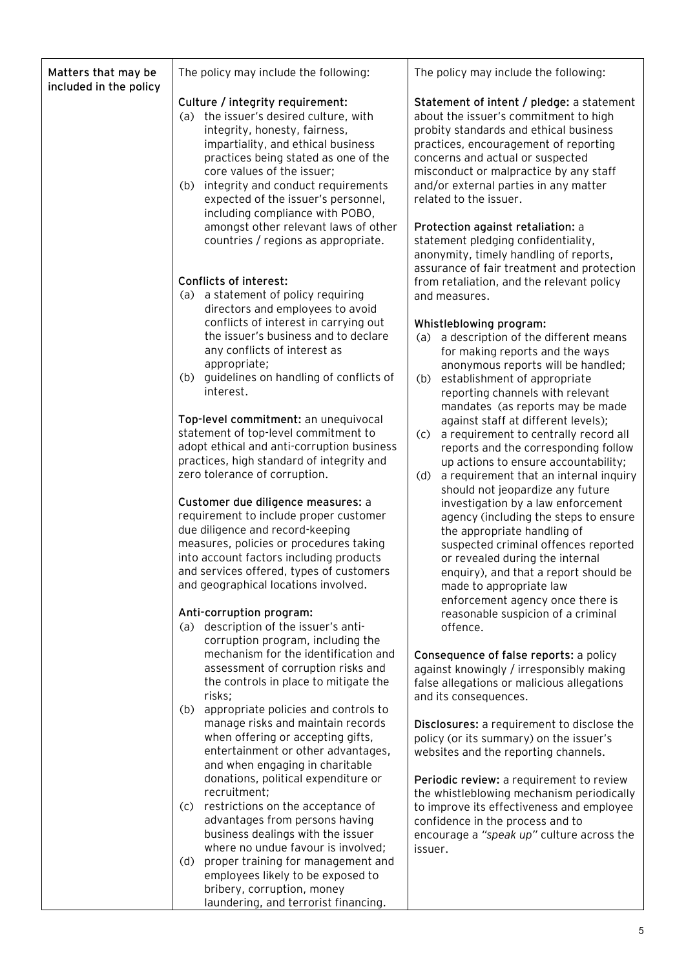| Matters that may be<br>included in the policy | The policy may include the following:                                                                                                                                                                                                                                                                                                          | The policy may include the following:                                                                                                                                                                                                                                                                                  |
|-----------------------------------------------|------------------------------------------------------------------------------------------------------------------------------------------------------------------------------------------------------------------------------------------------------------------------------------------------------------------------------------------------|------------------------------------------------------------------------------------------------------------------------------------------------------------------------------------------------------------------------------------------------------------------------------------------------------------------------|
|                                               | Culture / integrity requirement:<br>(a) the issuer's desired culture, with<br>integrity, honesty, fairness,<br>impartiality, and ethical business<br>practices being stated as one of the<br>core values of the issuer;<br>integrity and conduct requirements<br>(b)<br>expected of the issuer's personnel,<br>including compliance with POBO, | Statement of intent / pledge: a statement<br>about the issuer's commitment to high<br>probity standards and ethical business<br>practices, encouragement of reporting<br>concerns and actual or suspected<br>misconduct or malpractice by any staff<br>and/or external parties in any matter<br>related to the issuer. |
|                                               | amongst other relevant laws of other<br>countries / regions as appropriate.                                                                                                                                                                                                                                                                    | Protection against retaliation: a<br>statement pledging confidentiality,<br>anonymity, timely handling of reports,<br>assurance of fair treatment and protection                                                                                                                                                       |
|                                               | Conflicts of interest:<br>(a) a statement of policy requiring<br>directors and employees to avoid<br>conflicts of interest in carrying out<br>the issuer's business and to declare                                                                                                                                                             | from retaliation, and the relevant policy<br>and measures.<br>Whistleblowing program:<br>a description of the different means<br>(a)                                                                                                                                                                                   |
|                                               | any conflicts of interest as<br>appropriate;<br>guidelines on handling of conflicts of<br>(b)<br>interest.                                                                                                                                                                                                                                     | for making reports and the ways<br>anonymous reports will be handled;<br>establishment of appropriate<br>(b)<br>reporting channels with relevant<br>mandates (as reports may be made                                                                                                                                   |
|                                               | Top-level commitment: an unequivocal<br>statement of top-level commitment to<br>adopt ethical and anti-corruption business<br>practices, high standard of integrity and<br>zero tolerance of corruption.                                                                                                                                       | against staff at different levels);<br>a requirement to centrally record all<br>(c)<br>reports and the corresponding follow<br>up actions to ensure accountability;<br>a requirement that an internal inquiry<br>(d)                                                                                                   |
|                                               | Customer due diligence measures: a<br>requirement to include proper customer<br>due diligence and record-keeping<br>measures, policies or procedures taking<br>into account factors including products<br>and services offered, types of customers<br>and geographical locations involved.                                                     | should not jeopardize any future<br>investigation by a law enforcement<br>agency (including the steps to ensure<br>the appropriate handling of<br>suspected criminal offences reported<br>or revealed during the internal<br>enquiry), and that a report should be<br>made to appropriate law                          |
|                                               | Anti-corruption program:<br>(a) description of the issuer's anti-<br>corruption program, including the                                                                                                                                                                                                                                         | enforcement agency once there is<br>reasonable suspicion of a criminal<br>offence.                                                                                                                                                                                                                                     |
|                                               | mechanism for the identification and<br>assessment of corruption risks and<br>the controls in place to mitigate the<br>risks;                                                                                                                                                                                                                  | Consequence of false reports: a policy<br>against knowingly / irresponsibly making<br>false allegations or malicious allegations<br>and its consequences.                                                                                                                                                              |
|                                               | appropriate policies and controls to<br>(b)<br>manage risks and maintain records<br>when offering or accepting gifts,<br>entertainment or other advantages,<br>and when engaging in charitable                                                                                                                                                 | Disclosures: a requirement to disclose the<br>policy (or its summary) on the issuer's<br>websites and the reporting channels.                                                                                                                                                                                          |
|                                               | donations, political expenditure or<br>recruitment;<br>restrictions on the acceptance of<br>(c)<br>advantages from persons having<br>business dealings with the issuer                                                                                                                                                                         | Periodic review: a requirement to review<br>the whistleblowing mechanism periodically<br>to improve its effectiveness and employee<br>confidence in the process and to<br>encourage a "speak up" culture across the                                                                                                    |
|                                               | where no undue favour is involved;<br>proper training for management and<br>(d)<br>employees likely to be exposed to<br>bribery, corruption, money<br>laundering, and terrorist financing.                                                                                                                                                     | issuer.                                                                                                                                                                                                                                                                                                                |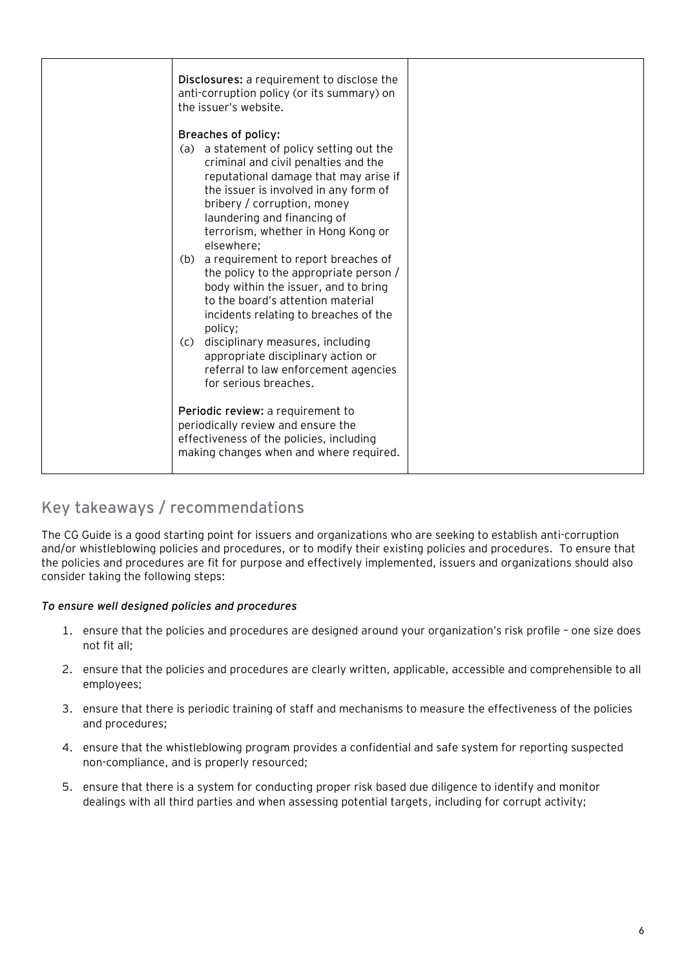| Disclosures: a requirement to disclose the<br>anti-corruption policy (or its summary) on<br>the issuer's website.                                                                                                                                                                                                                                                                                                                                                                                                                                                                                                                                                                    |  |
|--------------------------------------------------------------------------------------------------------------------------------------------------------------------------------------------------------------------------------------------------------------------------------------------------------------------------------------------------------------------------------------------------------------------------------------------------------------------------------------------------------------------------------------------------------------------------------------------------------------------------------------------------------------------------------------|--|
| Breaches of policy:<br>(a) a statement of policy setting out the<br>criminal and civil penalties and the<br>reputational damage that may arise if<br>the issuer is involved in any form of<br>bribery / corruption, money<br>laundering and financing of<br>terrorism, whether in Hong Kong or<br>elsewhere;<br>(b) a requirement to report breaches of<br>the policy to the appropriate person /<br>body within the issuer, and to bring<br>to the board's attention material<br>incidents relating to breaches of the<br>policy;<br>disciplinary measures, including<br>(C)<br>appropriate disciplinary action or<br>referral to law enforcement agencies<br>for serious breaches. |  |
| Periodic review: a requirement to<br>periodically review and ensure the<br>effectiveness of the policies, including<br>making changes when and where required.                                                                                                                                                                                                                                                                                                                                                                                                                                                                                                                       |  |

## **Key takeaways / recommendations**

The CG Guide is a good starting point for issuers and organizations who are seeking to establish anti-corruption and/or whistleblowing policies and procedures, or to modify their existing policies and procedures. To ensure that the policies and procedures are fit for purpose and effectively implemented, issuers and organizations should also consider taking the following steps:

#### *To ensure well designed policies and procedures*

- 1. ensure that the policies and procedures are designed around your organization's risk profile one size does not fit all;
- 2. ensure that the policies and procedures are clearly written, applicable, accessible and comprehensible to all employees;
- 3. ensure that there is periodic training of staff and mechanisms to measure the effectiveness of the policies and procedures;
- 4. ensure that the whistleblowing program provides a confidential and safe system for reporting suspected non-compliance, and is properly resourced;
- 5. ensure that there is a system for conducting proper risk based due diligence to identify and monitor dealings with all third parties and when assessing potential targets, including for corrupt activity;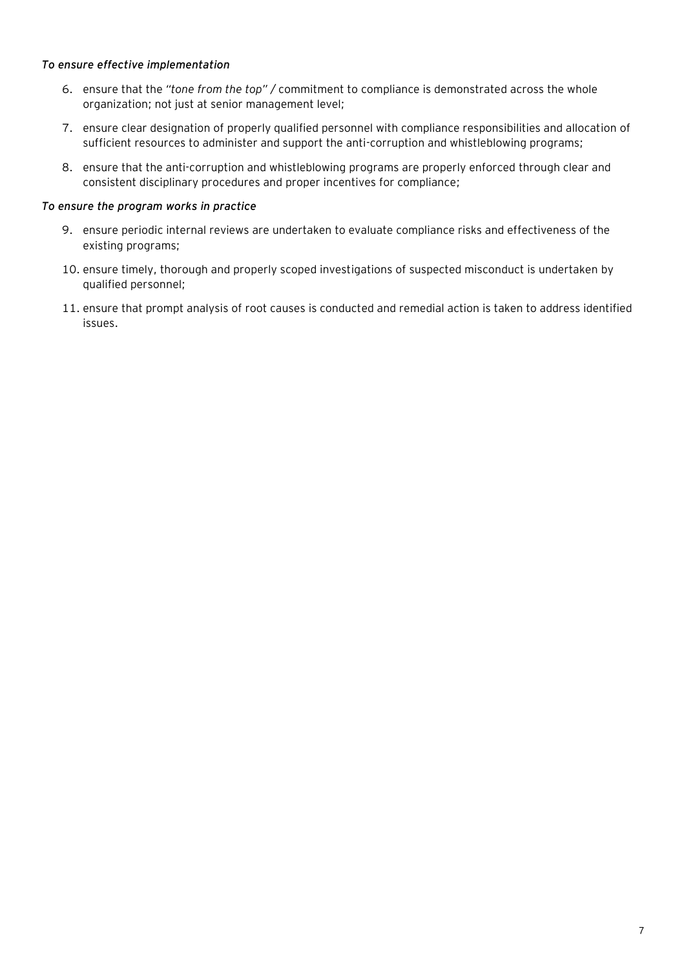#### *To ensure effective implementation*

- 6. ensure that the *"tone from the top" /* commitment to compliance is demonstrated across the whole organization; not just at senior management level;
- 7. ensure clear designation of properly qualified personnel with compliance responsibilities and allocation of sufficient resources to administer and support the anti-corruption and whistleblowing programs;
- 8. ensure that the anti-corruption and whistleblowing programs are properly enforced through clear and consistent disciplinary procedures and proper incentives for compliance;

#### *To ensure the program works in practice*

- 9. ensure periodic internal reviews are undertaken to evaluate compliance risks and effectiveness of the existing programs;
- 10. ensure timely, thorough and properly scoped investigations of suspected misconduct is undertaken by qualified personnel;
- 11. ensure that prompt analysis of root causes is conducted and remedial action is taken to address identified issues.